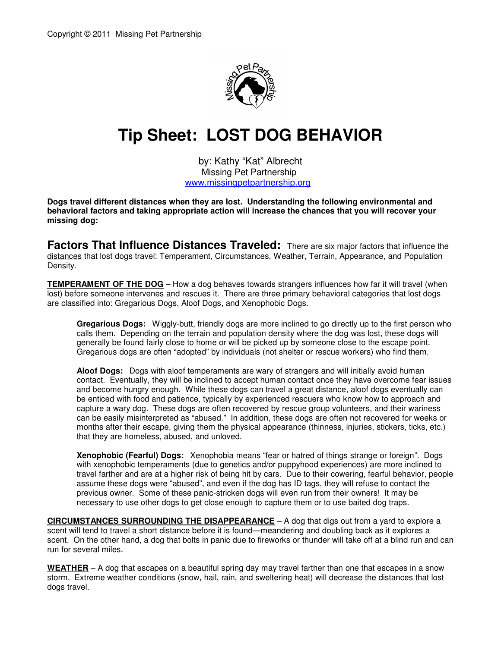

## **Tip Sheet: LOST DOG BEHAVIOR**

by: Kathy "Kat" Albrecht Missing Pet Partnership www.missingpetpartnership.org

**Dogs travel different distances when they are lost. Understanding the following environmental and behavioral factors and taking appropriate action will increase the chances that you will recover your missing dog:** 

**Factors That Influence Distances Traveled:** There are six major factors that influence the distances that lost dogs travel: Temperament, Circumstances, Weather, Terrain, Appearance, and Population Density.

**TEMPERAMENT OF THE DOG** – How a dog behaves towards strangers influences how far it will travel (when lost) before someone intervenes and rescues it. There are three primary behavioral categories that lost dogs are classified into: Gregarious Dogs, Aloof Dogs, and Xenophobic Dogs.

**Gregarious Dogs:** Wiggly-butt, friendly dogs are more inclined to go directly up to the first person who calls them. Depending on the terrain and population density where the dog was lost, these dogs will generally be found fairly close to home or will be picked up by someone close to the escape point. Gregarious dogs are often "adopted" by individuals (not shelter or rescue workers) who find them.

**Aloof Dogs:** Dogs with aloof temperaments are wary of strangers and will initially avoid human contact. Eventually, they will be inclined to accept human contact once they have overcome fear issues and become hungry enough. While these dogs can travel a great distance, aloof dogs eventually can be enticed with food and patience, typically by experienced rescuers who know how to approach and capture a wary dog. These dogs are often recovered by rescue group volunteers, and their wariness can be easily misinterpreted as "abused." In addition, these dogs are often not recovered for weeks or months after their escape, giving them the physical appearance (thinness, injuries, stickers, ticks, etc.) that they are homeless, abused, and unloved.

**Xenophobic (Fearful) Dogs:** Xenophobia means "fear or hatred of things strange or foreign". Dogs with xenophobic temperaments (due to genetics and/or puppyhood experiences) are more inclined to travel farther and are at a higher risk of being hit by cars. Due to their cowering, fearful behavior, people assume these dogs were "abused", and even if the dog has ID tags, they will refuse to contact the previous owner. Some of these panic-stricken dogs will even run from their owners! It may be necessary to use other dogs to get close enough to capture them or to use baited dog traps.

**CIRCUMSTANCES SURROUNDING THE DISAPPEARANCE** – A dog that digs out from a yard to explore a scent will tend to travel a short distance before it is found—meandering and doubling back as it explores a scent. On the other hand, a dog that bolts in panic due to fireworks or thunder will take off at a blind run and can run for several miles.

**WEATHER** – A dog that escapes on a beautiful spring day may travel farther than one that escapes in a snow storm. Extreme weather conditions (snow, hail, rain, and sweltering heat) will decrease the distances that lost dogs travel.